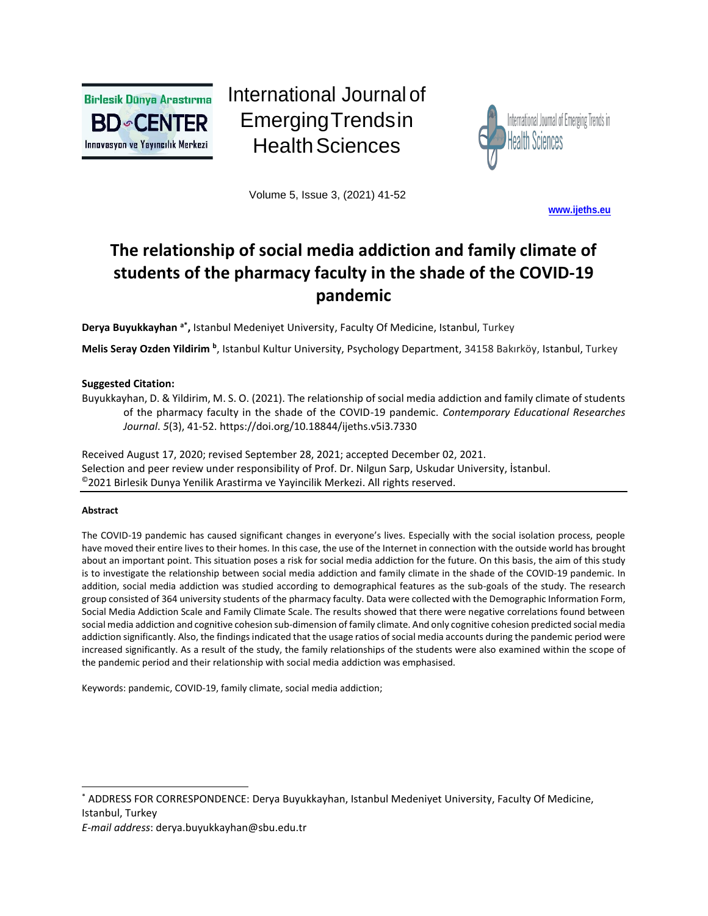

International Journal of EmergingTrendsin **Health Sciences** 



Volume 5, Issue 3, (2021) 41-52

**[www.ijeths.eu](http://www.ijeths.eu/)**

# **The relationship of social media addiction and family climate of students of the pharmacy faculty in the shade of the COVID-19 pandemic**

**Derya Buyukkayhan a\* ,** Istanbul Medeniyet University, Faculty Of Medicine, Istanbul, Turkey

Melis Seray Ozden Yildirim <sup>b</sup>, Istanbul Kultur University, Psychology Department, 34158 Bakırköy, Istanbul, Turkey

## **Suggested Citation:**

Buyukkayhan, D. & Yildirim, M. S. O. (2021). The relationship of social media addiction and family climate of students of the pharmacy faculty in the shade of the COVID-19 pandemic. *Contemporary Educational Researches Journal*. *5*(3), 41-52.<https://doi.org/10.18844/ijeths.v5i3.7330>

Received August 17, 2020; revised September 28, 2021; accepted December 02, 2021. Selection and peer review under responsibility of Prof. Dr. Nilgun Sarp, Uskudar University, İstanbul. ©2021 Birlesik Dunya Yenilik Arastirma ve Yayincilik Merkezi. All rights reserved.

## **Abstract**

The COVID-19 pandemic has caused significant changes in everyone's lives. Especially with the social isolation process, people have moved their entire lives to their homes. In this case, the use of the Internet in connection with the outside world has brought about an important point. This situation poses a risk for social media addiction for the future. On this basis, the aim of this study is to investigate the relationship between social media addiction and family climate in the shade of the COVID-19 pandemic. In addition, social media addiction was studied according to demographical features as the sub-goals of the study. The research group consisted of 364 university students of the pharmacy faculty. Data were collected with the Demographic Information Form, Social Media Addiction Scale and Family Climate Scale. The results showed that there were negative correlations found between social media addiction and cognitive cohesion sub-dimension of family climate. And only cognitive cohesion predicted social media addiction significantly. Also, the findings indicated that the usage ratios of social media accounts during the pandemic period were increased significantly. As a result of the study, the family relationships of the students were also examined within the scope of the pandemic period and their relationship with social media addiction was emphasised.

Keywords: pandemic, COVID-19, family climate, social media addiction;

*E-mail address*: [derya.buyukkayhan@sbu.edu.tr](mailto:derya.buyukkayhan@sbu.edu.tr)

<sup>\*</sup> ADDRESS FOR CORRESPONDENCE: Derya Buyukkayhan, Istanbul Medeniyet University, Faculty Of Medicine, Istanbul, Turkey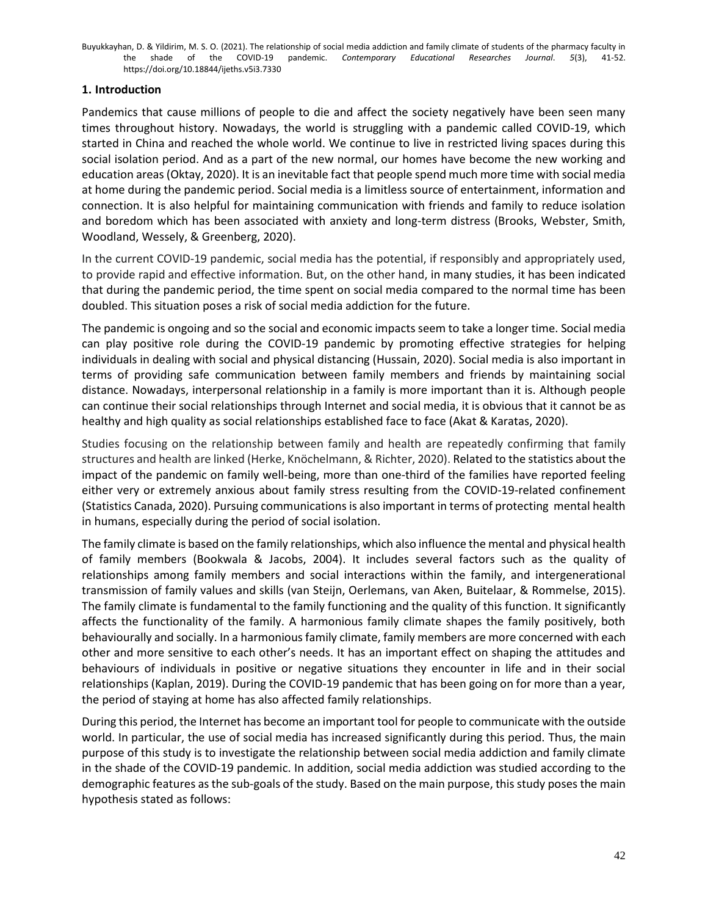# **1. Introduction**

Pandemics that cause millions of people to die and affect the society negatively have been seen many times throughout history. Nowadays, the world is struggling with a pandemic called COVID-19, which started in China and reached the whole world. We continue to live in restricted living spaces during this social isolation period. And as a part of the new normal, our homes have become the new working and education areas (Oktay, 2020). It is an inevitable fact that people spend much more time with social media at home during the pandemic period. Social media is a limitless source of entertainment, information and connection. It is also helpful for maintaining communication with friends and family to reduce isolation and boredom which has been associated with anxiety and long-term distress (Brooks, Webster, Smith, Woodland, Wessely, & Greenberg, 2020).

In the current COVID‐19 pandemic, social media has the potential, if responsibly and appropriately used, to provide rapid and effective information. But, on the other hand, in many studies, it has been indicated that during the pandemic period, the time spent on social media compared to the normal time has been doubled. This situation poses a risk of social media addiction for the future.

The pandemic is ongoing and so the social and economic impacts seem to take a longer time. Social media can play positive role during the COVID-19 pandemic by promoting effective strategies for helping individuals in dealing with social and physical distancing (Hussain, 2020). Social media is also important in terms of providing safe communication between family members and friends by maintaining social distance. Nowadays, interpersonal relationship in a family is more important than it is. Although people can continue their social relationships through Internet and social media, it is obvious that it cannot be as healthy and high quality as social relationships established face to face (Akat & Karatas, 2020).

Studies focusing on the relationship between family and health are repeatedly confirming that family structures and health are linked (Herke, Knöchelmann, & Richter, 2020). Related to the statistics about the impact of the pandemic on family well-being, more than one-third of the families have reported feeling either very or extremely anxious about family stress resulting from the COVID-19-related confinement (Statistics Canada, 2020). Pursuing communications is also important in terms of protecting mental health in humans, especially during the period of social isolation.

The family climate is based on the family relationships, which also influence the mental and physical health of family members (Bookwala & Jacobs, 2004). It includes several factors such as the quality of relationships among family members and social interactions within the family, and intergenerational transmission of family values and skills (van Steijn, Oerlemans, van Aken, Buitelaar, & Rommelse, 2015). The family climate is fundamental to the family functioning and the quality of this function. It significantly affects the functionality of the family. A harmonious family climate shapes the family positively, both behaviourally and socially. In a harmonious family climate, family members are more concerned with each other and more sensitive to each other's needs. It has an important effect on shaping the attitudes and behaviours of individuals in positive or negative situations they encounter in life and in their social relationships (Kaplan, 2019). During the COVID-19 pandemic that has been going on for more than a year, the period of staying at home has also affected family relationships.

During this period, the Internet has become an important tool for people to communicate with the outside world. In particular, the use of social media has increased significantly during this period. Thus, the main purpose of this study is to investigate the relationship between social media addiction and family climate in the shade of the COVID-19 pandemic. In addition, social media addiction was studied according to the demographic features as the sub-goals of the study. Based on the main purpose, this study poses the main hypothesis stated as follows: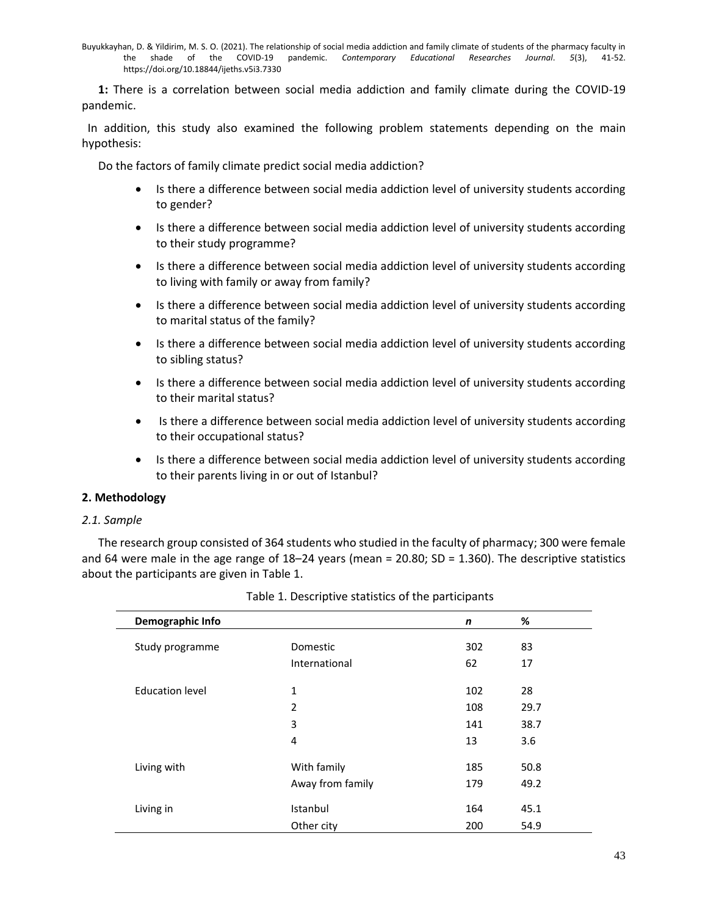**1:** There is a correlation between social media addiction and family climate during the COVID-19 pandemic.

 In addition, this study also examined the following problem statements depending on the main hypothesis:

Do the factors of family climate predict social media addiction?

- Is there a difference between social media addiction level of university students according to gender?
- Is there a difference between social media addiction level of university students according to their study programme?
- Is there a difference between social media addiction level of university students according to living with family or away from family?
- Is there a difference between social media addiction level of university students according to marital status of the family?
- Is there a difference between social media addiction level of university students according to sibling status?
- Is there a difference between social media addiction level of university students according to their marital status?
- Is there a difference between social media addiction level of university students according to their occupational status?
- Is there a difference between social media addiction level of university students according to their parents living in or out of Istanbul?

## **2. Methodology**

## *2.1. Sample*

The research group consisted of 364 students who studied in the faculty of pharmacy; 300 were female and 64 were male in the age range of  $18-24$  years (mean = 20.80; SD = 1.360). The descriptive statistics about the participants are given in Table 1.

| Demographic Info       |                  | n   | %    |
|------------------------|------------------|-----|------|
| Study programme        | <b>Domestic</b>  | 302 | 83   |
|                        | International    | 62  | 17   |
| <b>Education level</b> | 1                | 102 | 28   |
|                        | 2                | 108 | 29.7 |
|                        | 3                | 141 | 38.7 |
|                        | 4                | 13  | 3.6  |
| Living with            | With family      | 185 | 50.8 |
|                        | Away from family | 179 | 49.2 |
| Living in              | Istanbul         | 164 | 45.1 |
|                        | Other city       | 200 | 54.9 |

|  |  | Table 1. Descriptive statistics of the participants |
|--|--|-----------------------------------------------------|
|  |  |                                                     |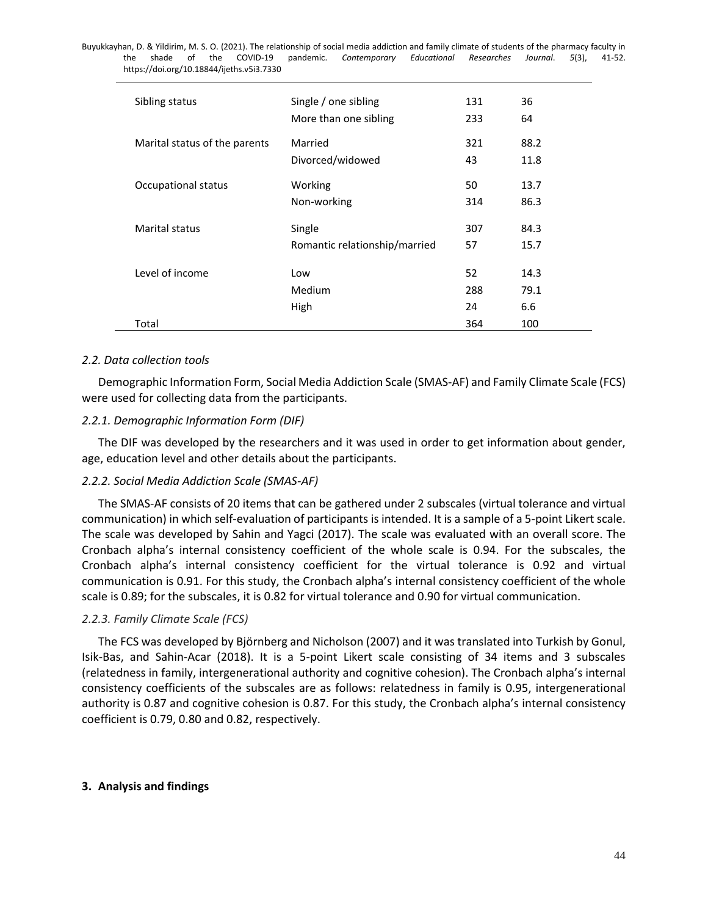Buyukkayhan, D. & Yildirim, M. S. O. (2021). The relationship of social media addiction and family climate of students of the pharmacy faculty in the shade of the COVID-19 pandemic. *Contemporary Educational Researches Journal*. *5*(3), 41-52. <https://doi.org/10.18844/ijeths.v5i3.7330> Sibling status Single / one sibling 131 36 More than one sibling 233 64 Marital status of the parents Married 1990 121 88.2 Divorced/widowed 43 11.8 Occupational status **50** 13.7 Non-working 314 86.3 Marital status Single 307 84.3 Romantic relationship/married 57 15.7 Level of income Low 52 14.3 Medium 288 79.1 High 24 6.6 Total 364 100

## *2.2. Data collection tools*

Demographic Information Form, Social Media Addiction Scale (SMAS-AF) and Family Climate Scale (FCS) were used for collecting data from the participants.

## *2.2.1. Demographic Information Form (DIF)*

The DIF was developed by the researchers and it was used in order to get information about gender, age, education level and other details about the participants.

## *2.2.2. Social Media Addiction Scale (SMAS-AF)*

The SMAS-AF consists of 20 items that can be gathered under 2 subscales (virtual tolerance and virtual communication) in which self-evaluation of participants is intended. It is a sample of a 5-point Likert scale. The scale was developed by Sahin and Yagci (2017). The scale was evaluated with an overall score. The Cronbach alpha's internal consistency coefficient of the whole scale is 0.94. For the subscales, the Cronbach alpha's internal consistency coefficient for the virtual tolerance is 0.92 and virtual communication is 0.91. For this study, the Cronbach alpha's internal consistency coefficient of the whole scale is 0.89; for the subscales, it is 0.82 for virtual tolerance and 0.90 for virtual communication.

## *2.2.3. Family Climate Scale (FCS)*

The FCS was developed by Björnberg and Nicholson (2007) and it was translated into Turkish by Gonul, Isik-Bas, and Sahin-Acar (2018). It is a 5-point Likert scale consisting of 34 items and 3 subscales (relatedness in family, intergenerational authority and cognitive cohesion). The Cronbach alpha's internal consistency coefficients of the subscales are as follows: relatedness in family is 0.95, intergenerational authority is 0.87 and cognitive cohesion is 0.87. For this study, the Cronbach alpha's internal consistency coefficient is 0.79, 0.80 and 0.82, respectively.

## **3. Analysis and findings**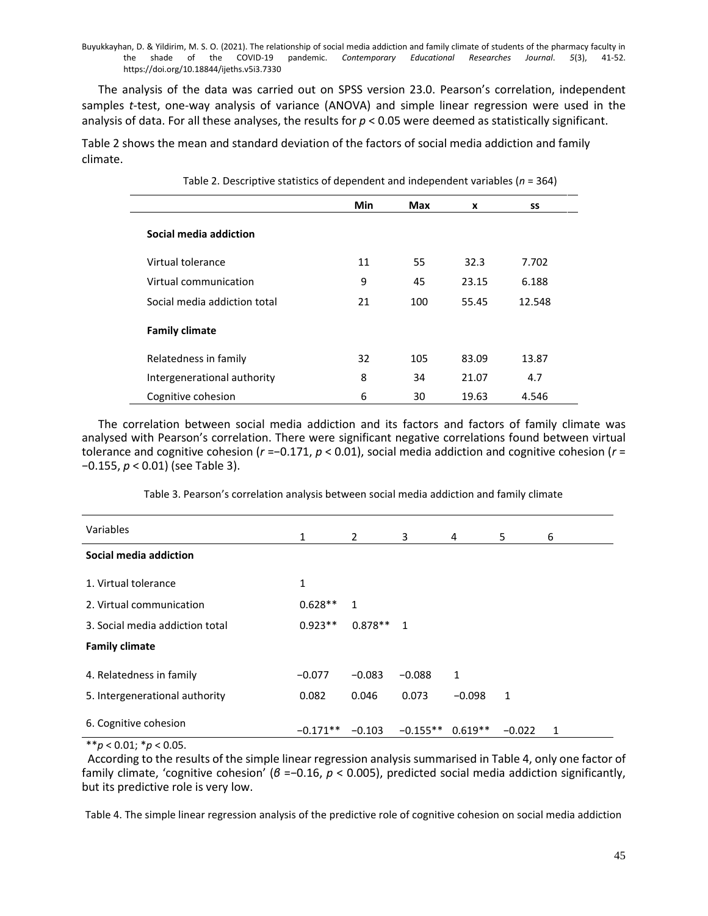The analysis of the data was carried out on SPSS version 23.0. Pearson's correlation, independent samples *t*-test, one-way analysis of variance (ANOVA) and simple linear regression were used in the analysis of data. For all these analyses, the results for *p* < 0.05 were deemed as statistically significant.

Table 2 shows the mean and standard deviation of the factors of social media addiction and family climate.

|                              | Min | Max | X     | SS     |
|------------------------------|-----|-----|-------|--------|
| Social media addiction       |     |     |       |        |
| Virtual tolerance            | 11  | 55  | 32.3  | 7.702  |
| Virtual communication        | 9   | 45  | 23.15 | 6.188  |
| Social media addiction total | 21  | 100 | 55.45 | 12.548 |
| <b>Family climate</b>        |     |     |       |        |
| Relatedness in family        | 32  | 105 | 83.09 | 13.87  |
| Intergenerational authority  | 8   | 34  | 21.07 | 4.7    |
| Cognitive cohesion           | 6   | 30  | 19.63 | 4.546  |

Table 2. Descriptive statistics of dependent and independent variables (*n* = 364)

The correlation between social media addiction and its factors and factors of family climate was analysed with Pearson's correlation. There were significant negative correlations found between virtual tolerance and cognitive cohesion (*r* =−0.171, *p* < 0.01), social media addiction and cognitive cohesion (*r* = −0.155, *p* < 0.01) (see Table 3).

Table 3. Pearson's correlation analysis between social media addiction and family climate

| Variables                       | $\mathbf{1}$ | $\overline{2}$ | 3          | 4         | 5        | 6 |
|---------------------------------|--------------|----------------|------------|-----------|----------|---|
| Social media addiction          |              |                |            |           |          |   |
| 1. Virtual tolerance            | 1            |                |            |           |          |   |
| 2. Virtual communication        | $0.628**$    | 1              |            |           |          |   |
| 3. Social media addiction total | $0.923**$    | $0.878**$ 1    |            |           |          |   |
| <b>Family climate</b>           |              |                |            |           |          |   |
| 4. Relatedness in family        | $-0.077$     | $-0.083$       | $-0.088$   | 1         |          |   |
| 5. Intergenerational authority  | 0.082        | 0.046          | 0.073      | $-0.098$  | 1        |   |
| 6. Cognitive cohesion           | $-0.171**$   | $-0.103$       | $-0.155**$ | $0.619**$ | $-0.022$ | 1 |

\*\**p* < 0.01; \**p* < 0.05.

According to the results of the simple linear regression analysis summarised in Table 4, only one factor of family climate, 'cognitive cohesion' (*β* =−0.16, *p* < 0.005), predicted social media addiction significantly, but its predictive role is very low.

Table 4. The simple linear regression analysis of the predictive role of cognitive cohesion on social media addiction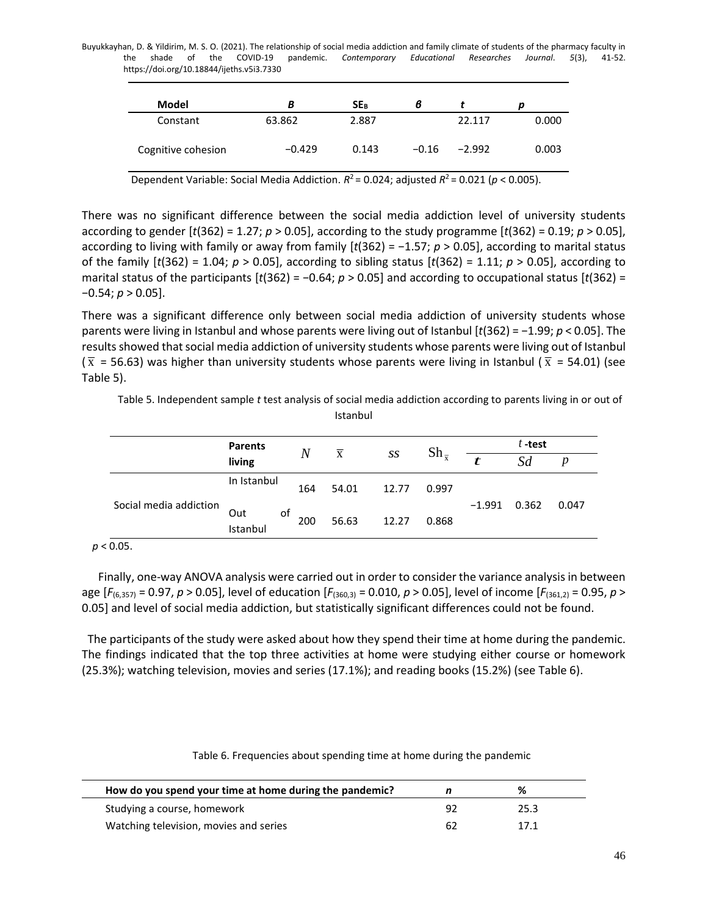| Model              | В        | SE <sub>B</sub> | ь       |          |       |
|--------------------|----------|-----------------|---------|----------|-------|
| Constant           | 63.862   | 2.887           |         | 22.117   | 0.000 |
| Cognitive cohesion | $-0.429$ | 0.143           | $-0.16$ | $-2.992$ | 0.003 |

Dependent Variable: Social Media Addiction.  $R^2$  = 0.024; adjusted  $R^2$  = 0.021 ( $p$  < 0.005).

There was no significant difference between the social media addiction level of university students according to gender [*t*(362) = 1.27; *p* > 0.05], according to the study programme [*t*(362) = 0.19; *p* > 0.05], according to living with family or away from family [*t*(362) = −1.57; *p* > 0.05], according to marital status of the family [*t*(362) = 1.04; *p* > 0.05], according to sibling status [*t*(362) = 1.11; *p* > 0.05], according to marital status of the participants [*t*(362) = −0.64; *p* > 0.05] and according to occupational status [*t*(362) = −0.54; *p* > 0.05].

There was a significant difference only between social media addiction of university students whose parents were living in Istanbul and whose parents were living out of Istanbul [*t*(362) = −1.99; *p* < 0.05]. The results showed that social media addiction of university students whose parents were living out of Istanbul ( $\overline{x}$  = 56.63) was higher than university students whose parents were living in Istanbul ( $\overline{x}$  = 54.01) (see Table 5).

Table 5. Independent sample *t* test analysis of social media addiction according to parents living in or out of Istanbul

|                        | <b>Parents</b>        | $\overline{N}$ | $\overline{\mathbf{x}}$ |       | $\mathrm{Sh}_{\overline{v}}$ |          | $t$ -test |                  |
|------------------------|-----------------------|----------------|-------------------------|-------|------------------------------|----------|-----------|------------------|
|                        | living                |                |                         | SS    |                              | t        | Sd        | $\boldsymbol{p}$ |
|                        | In Istanbul           | 164            | 54.01                   | 12.77 | 0.997                        |          |           |                  |
| Social media addiction | οf<br>Out<br>Istanbul | 200            | 56.63                   | 12.27 | 0.868                        | $-1.991$ | 0.362     | 0.047            |

*p* < 0.05.

Finally, one-way ANOVA analysis were carried out in order to consider the variance analysis in between age [*F*(6,357) = 0.97, *p* > 0.05], level of education [*F*(360,3) = 0.010, *p* > 0.05], level of income [*F*(361,2) = 0.95, *p* > 0.05] and level of social media addiction, but statistically significant differences could not be found.

The participants of the study were asked about how they spend their time at home during the pandemic. The findings indicated that the top three activities at home were studying either course or homework (25.3%); watching television, movies and series (17.1%); and reading books (15.2%) (see Table 6).

| How do you spend your time at home during the pandemic? |     | %    |  |
|---------------------------------------------------------|-----|------|--|
| Studying a course, homework                             | -92 | 25.3 |  |
| Watching television, movies and series                  | 62  | 171  |  |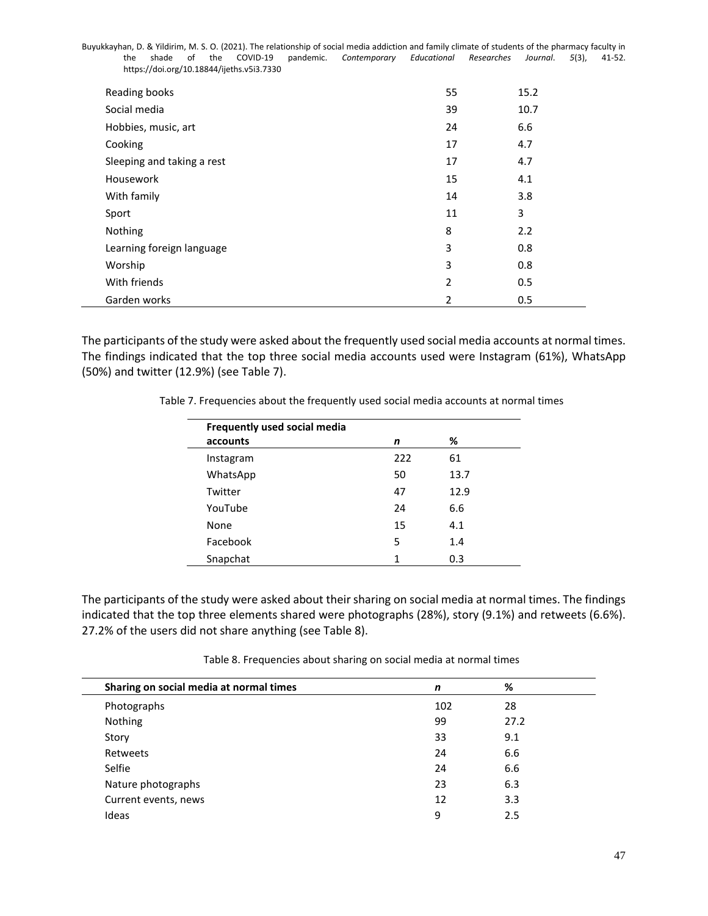| Reading books              | 55 | 15.2 |
|----------------------------|----|------|
| Social media               | 39 | 10.7 |
| Hobbies, music, art        | 24 | 6.6  |
| Cooking                    | 17 | 4.7  |
| Sleeping and taking a rest | 17 | 4.7  |
| Housework                  | 15 | 4.1  |
| With family                | 14 | 3.8  |
| Sport                      | 11 | 3    |
| Nothing                    | 8  | 2.2  |
| Learning foreign language  | 3  | 0.8  |
| Worship                    | 3  | 0.8  |
| With friends               | 2  | 0.5  |
| Garden works               | 2  | 0.5  |

The participants of the study were asked about the frequently used social media accounts at normal times. The findings indicated that the top three social media accounts used were Instagram (61%), WhatsApp (50%) and twitter (12.9%) (see Table 7).

Table 7. Frequencies about the frequently used social media accounts at normal times

| Frequently used social media |     |      |  |
|------------------------------|-----|------|--|
| accounts                     | n   | %    |  |
| Instagram                    | 222 | 61   |  |
| WhatsApp                     | 50  | 13.7 |  |
| Twitter                      | 47  | 12.9 |  |
| YouTube                      | 24  | 6.6  |  |
| None                         | 15  | 4.1  |  |
| Facebook                     | 5   | 1.4  |  |
| Snapchat                     | 1   | 0.3  |  |

The participants of the study were asked about their sharing on social media at normal times. The findings indicated that the top three elements shared were photographs (28%), story (9.1%) and retweets (6.6%). 27.2% of the users did not share anything (see Table 8).

| Table 8. Frequencies about sharing on social media at normal times |  |  |  |
|--------------------------------------------------------------------|--|--|--|
|--------------------------------------------------------------------|--|--|--|

| Sharing on social media at normal times | n   | %    |
|-----------------------------------------|-----|------|
| Photographs                             | 102 | 28   |
| Nothing                                 | 99  | 27.2 |
| Story                                   | 33  | 9.1  |
| Retweets                                | 24  | 6.6  |
| Selfie                                  | 24  | 6.6  |
| Nature photographs                      | 23  | 6.3  |
| Current events, news                    | 12  | 3.3  |
| Ideas                                   | 9   | 2.5  |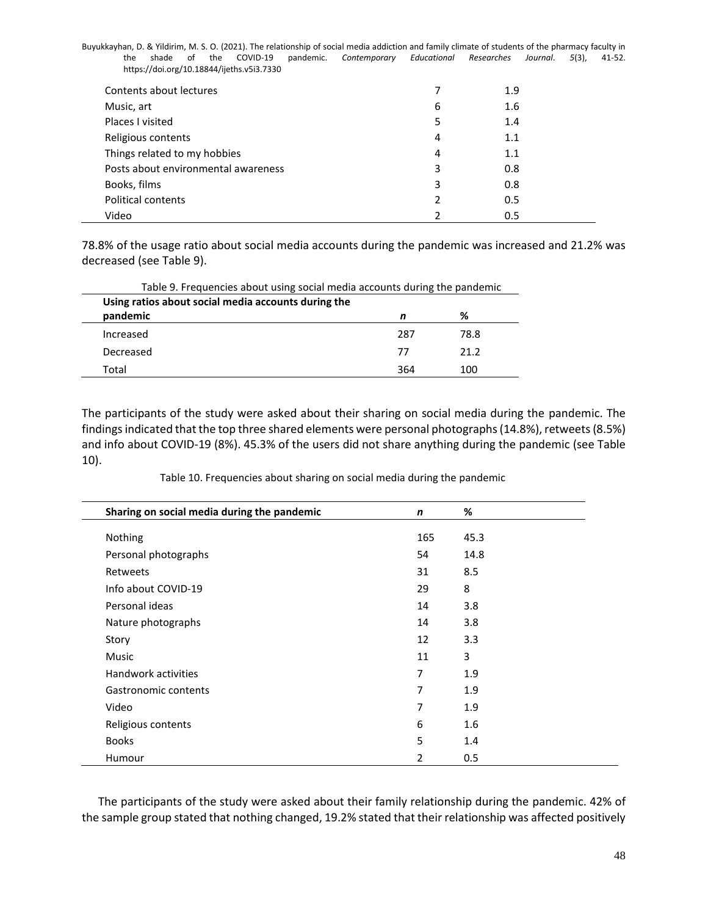|  |  |                                           | Buyukkayhan, D. & Yildirim, M. S. O. (2021). The relationship of social media addiction and family climate of students of the pharmacy faculty in |  |  |  |
|--|--|-------------------------------------------|---------------------------------------------------------------------------------------------------------------------------------------------------|--|--|--|
|  |  |                                           | shade of the COVID-19 pandemic. Contemporary Educational Researches Journal. 5(3). 41-52.                                                         |  |  |  |
|  |  | https://doi.org/10.18844/ijeths.v5i3.7330 |                                                                                                                                                   |  |  |  |

| Contents about lectures             |   | 1.9 |
|-------------------------------------|---|-----|
| Music, art                          | 6 | 1.6 |
| Places I visited                    | 5 | 1.4 |
| Religious contents                  | 4 | 1.1 |
| Things related to my hobbies        | 4 | 1.1 |
| Posts about environmental awareness | 3 | 0.8 |
| Books, films                        | 3 | 0.8 |
| <b>Political contents</b>           | 2 | 0.5 |
| Video                               | າ | 0.5 |

78.8% of the usage ratio about social media accounts during the pandemic was increased and 21.2% was decreased (see Table 9).

| Table 9. Frequencies about using social media accounts during the pandemic |     |      |  |  |
|----------------------------------------------------------------------------|-----|------|--|--|
| Using ratios about social media accounts during the<br>pandemic            | n   | %    |  |  |
| Increased                                                                  | 287 | 78.8 |  |  |
| Decreased                                                                  | 77  | 21 2 |  |  |
| Total                                                                      | 364 | 100  |  |  |

The participants of the study were asked about their sharing on social media during the pandemic. The findings indicated that the top three shared elements were personal photographs (14.8%), retweets (8.5%) and info about COVID-19 (8%). 45.3% of the users did not share anything during the pandemic (see Table 10).

Table 10. Frequencies about sharing on social media during the pandemic

| Sharing on social media during the pandemic | n   | %    |
|---------------------------------------------|-----|------|
| Nothing                                     | 165 | 45.3 |
|                                             |     |      |
| Personal photographs                        | 54  | 14.8 |
| Retweets                                    | 31  | 8.5  |
| Info about COVID-19                         | 29  | 8    |
| Personal ideas                              | 14  | 3.8  |
| Nature photographs                          | 14  | 3.8  |
| Story                                       | 12  | 3.3  |
| Music                                       | 11  | 3    |
| Handwork activities                         | 7   | 1.9  |
| Gastronomic contents                        | 7   | 1.9  |
| Video                                       | 7   | 1.9  |
| Religious contents                          | 6   | 1.6  |
| <b>Books</b>                                | 5   | 1.4  |
| Humour                                      | 2   | 0.5  |

The participants of the study were asked about their family relationship during the pandemic. 42% of the sample group stated that nothing changed, 19.2% stated that their relationship was affected positively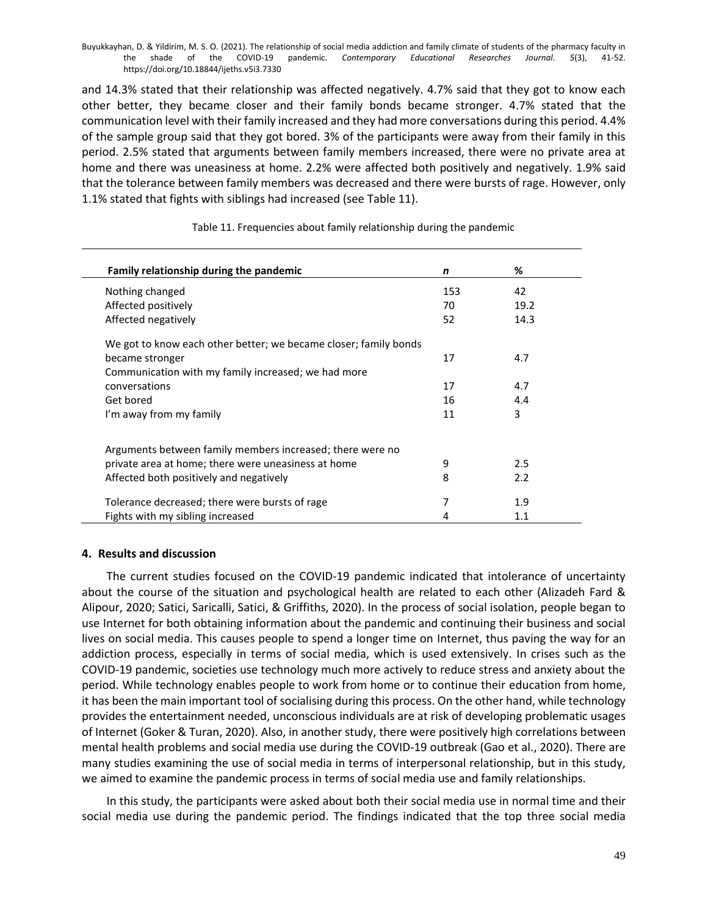and 14.3% stated that their relationship was affected negatively. 4.7% said that they got to know each other better, they became closer and their family bonds became stronger. 4.7% stated that the communication level with their family increased and they had more conversations during this period. 4.4% of the sample group said that they got bored. 3% of the participants were away from their family in this period. 2.5% stated that arguments between family members increased, there were no private area at home and there was uneasiness at home. 2.2% were affected both positively and negatively. 1.9% said that the tolerance between family members was decreased and there were bursts of rage. However, only 1.1% stated that fights with siblings had increased (see Table 11).

| Family relationship during the pandemic                          | n   | %    |  |
|------------------------------------------------------------------|-----|------|--|
| Nothing changed                                                  | 153 | 42   |  |
| Affected positively                                              | 70  | 19.2 |  |
| Affected negatively                                              | 52  | 14.3 |  |
| We got to know each other better; we became closer; family bonds |     |      |  |
| became stronger                                                  | 17  | 4.7  |  |
| Communication with my family increased; we had more              |     |      |  |
| conversations                                                    | 17  | 4.7  |  |
| Get bored                                                        | 16  | 4.4  |  |
| I'm away from my family                                          | 11  | 3    |  |
| Arguments between family members increased; there were no        |     |      |  |
| private area at home; there were uneasiness at home              | 9   | 2.5  |  |
| Affected both positively and negatively                          | 8   | 2.2  |  |
| Tolerance decreased; there were bursts of rage                   | 7   | 1.9  |  |
| Fights with my sibling increased                                 | 4   | 1.1  |  |

## Table 11. Frequencies about family relationship during the pandemic

## **4. Results and discussion**

The current studies focused on the COVID-19 pandemic indicated that intolerance of uncertainty about the course of the situation and psychological health are related to each other (Alizadeh Fard & Alipour, 2020; Satici, Saricalli, Satici, & Griffiths, 2020). In the process of social isolation, people began to use Internet for both obtaining information about the pandemic and continuing their business and social lives on social media. This causes people to spend a longer time on Internet, thus paving the way for an addiction process, especially in terms of social media, which is used extensively. In crises such as the COVID-19 pandemic, societies use technology much more actively to reduce stress and anxiety about the period. While technology enables people to work from home or to continue their education from home, it has been the main important tool of socialising during this process. On the other hand, while technology provides the entertainment needed, unconscious individuals are at risk of developing problematic usages of Internet (Goker & Turan, 2020). Also, in another study, there were positively high correlations between mental health problems and social media use during the COVID-19 outbreak (Gao et al., 2020). There are many studies examining the use of social media in terms of interpersonal relationship, but in this study, we aimed to examine the pandemic process in terms of social media use and family relationships.

In this study, the participants were asked about both their social media use in normal time and their social media use during the pandemic period. The findings indicated that the top three social media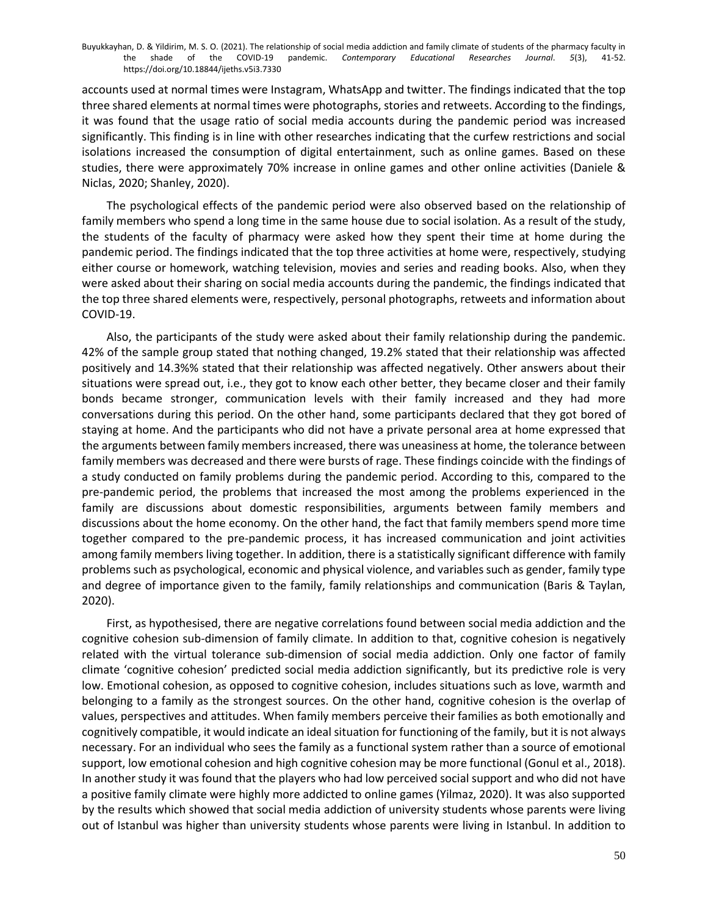accounts used at normal times were Instagram, WhatsApp and twitter. The findings indicated that the top three shared elements at normal times were photographs, stories and retweets. According to the findings, it was found that the usage ratio of social media accounts during the pandemic period was increased significantly. This finding is in line with other researches indicating that the curfew restrictions and social isolations increased the consumption of digital entertainment, such as online games. Based on these studies, there were approximately 70% increase in online games and other online activities (Daniele & Niclas, 2020; Shanley, 2020).

The psychological effects of the pandemic period were also observed based on the relationship of family members who spend a long time in the same house due to social isolation. As a result of the study, the students of the faculty of pharmacy were asked how they spent their time at home during the pandemic period. The findings indicated that the top three activities at home were, respectively, studying either course or homework, watching television, movies and series and reading books. Also, when they were asked about their sharing on social media accounts during the pandemic, the findings indicated that the top three shared elements were, respectively, personal photographs, retweets and information about COVID-19.

Also, the participants of the study were asked about their family relationship during the pandemic. 42% of the sample group stated that nothing changed, 19.2% stated that their relationship was affected positively and 14.3%% stated that their relationship was affected negatively. Other answers about their situations were spread out, i.e., they got to know each other better, they became closer and their family bonds became stronger, communication levels with their family increased and they had more conversations during this period. On the other hand, some participants declared that they got bored of staying at home. And the participants who did not have a private personal area at home expressed that the arguments between family members increased, there was uneasiness at home, the tolerance between family members was decreased and there were bursts of rage. These findings coincide with the findings of a study conducted on family problems during the pandemic period. According to this, compared to the pre-pandemic period, the problems that increased the most among the problems experienced in the family are discussions about domestic responsibilities, arguments between family members and discussions about the home economy. On the other hand, the fact that family members spend more time together compared to the pre-pandemic process, it has increased communication and joint activities among family members living together. In addition, there is a statistically significant difference with family problems such as psychological, economic and physical violence, and variables such as gender, family type and degree of importance given to the family, family relationships and communication (Baris & Taylan, 2020).

First, as hypothesised, there are negative correlations found between social media addiction and the cognitive cohesion sub-dimension of family climate. In addition to that, cognitive cohesion is negatively related with the virtual tolerance sub-dimension of social media addiction. Only one factor of family climate 'cognitive cohesion' predicted social media addiction significantly, but its predictive role is very low. Emotional cohesion, as opposed to cognitive cohesion, includes situations such as love, warmth and belonging to a family as the strongest sources. On the other hand, cognitive cohesion is the overlap of values, perspectives and attitudes. When family members perceive their families as both emotionally and cognitively compatible, it would indicate an ideal situation for functioning of the family, but it is not always necessary. For an individual who sees the family as a functional system rather than a source of emotional support, low emotional cohesion and high cognitive cohesion may be more functional (Gonul et al., 2018). In another study it was found that the players who had low perceived social support and who did not have a positive family climate were highly more addicted to online games (Yilmaz, 2020). It was also supported by the results which showed that social media addiction of university students whose parents were living out of Istanbul was higher than university students whose parents were living in Istanbul. In addition to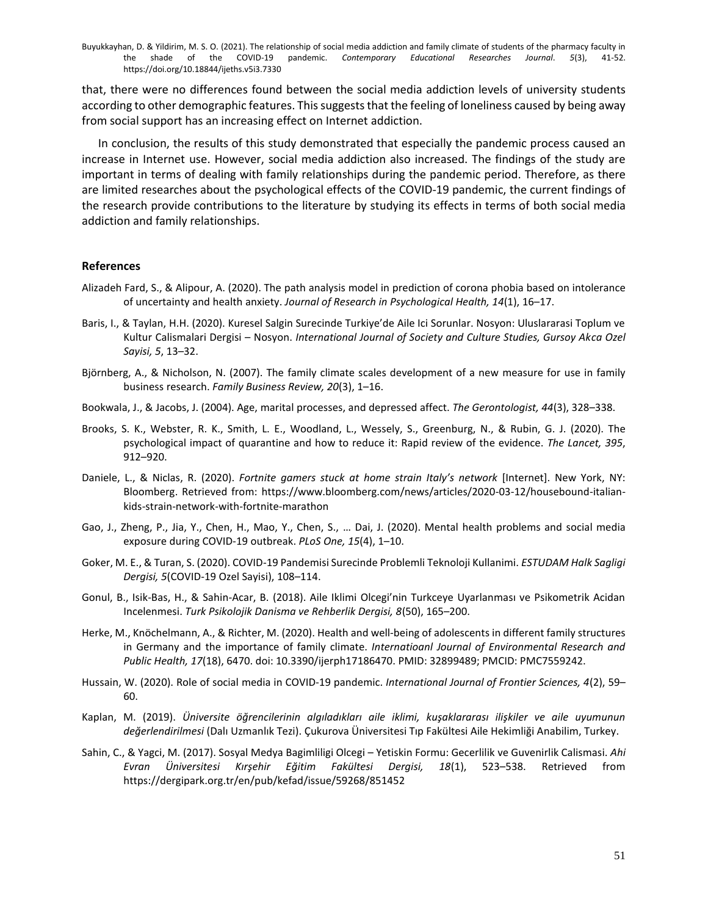that, there were no differences found between the social media addiction levels of university students according to other demographic features. This suggests that the feeling of loneliness caused by being away from social support has an increasing effect on Internet addiction.

In conclusion, the results of this study demonstrated that especially the pandemic process caused an increase in Internet use. However, social media addiction also increased. The findings of the study are important in terms of dealing with family relationships during the pandemic period. Therefore, as there are limited researches about the psychological effects of the COVID-19 pandemic, the current findings of the research provide contributions to the literature by studying its effects in terms of both social media addiction and family relationships.

## **References**

- Alizadeh Fard, S., & Alipour, A. (2020). The path analysis model in prediction of corona phobia based on intolerance of uncertainty and health anxiety. *Journal of Research in Psychological Health, 14*(1), 16–17.
- Baris, I., & Taylan, H.H. (2020). Kuresel Salgin Surecinde Turkiye'de Aile Ici Sorunlar. Nosyon: Uluslararasi Toplum ve Kultur Calismalari Dergisi – Nosyon. *International Journal of Society and Culture Studies, Gursoy Akca Ozel Sayisi, 5*, 13–32.
- Björnberg, A., & Nicholson, N. (2007). The family climate scales development of a new measure for use in family business research. *Family Business Review, 20*(3), 1–16.
- Bookwala, J., & Jacobs, J. (2004). Age, marital processes, and depressed affect. *The Gerontologist, 44*(3), 328–338.
- Brooks, S. K., Webster, R. K., Smith, L. E., Woodland, L., Wessely, S., Greenburg, N., & Rubin, G. J. (2020). The psychological impact of quarantine and how to reduce it: Rapid review of the evidence. *The Lancet, 395*, 912–920.
- Daniele, L., & Niclas, R. (2020). *Fortnite gamers stuck at home strain Italy's network* [Internet]. New York, NY: Bloomberg. Retrieved from: https://www.bloomberg.com/news/articles/2020-03-12/housebound-italiankids-strain-network-with-fortnite-marathon
- Gao, J., Zheng, P., Jia, Y., Chen, H., Mao, Y., Chen, S., … Dai, J. (2020). Mental health problems and social media exposure during COVID-19 outbreak. *PLoS One, 15*(4), 1–10.
- Goker, M. E., & Turan, S. (2020). COVID-19 Pandemisi Surecinde Problemli Teknoloji Kullanimi. *ESTUDAM Halk Sagligi Dergisi, 5*(COVID-19 Ozel Sayisi), 108–114.
- Gonul, B., Isik-Bas, H., & Sahin-Acar, B. (2018). Aile Iklimi Olcegi'nin Turkceye Uyarlanması ve Psikometrik Acidan Incelenmesi. *Turk Psikolojik Danisma ve Rehberlik Dergisi, 8*(50), 165–200.
- Herke, M., Knöchelmann, A., & Richter, M. (2020). Health and well-being of adolescents in different family structures in Germany and the importance of family climate. *Internatioanl Journal of Environmental Research and Public Health, 17*(18), 6470. doi: 10.3390/ijerph17186470. PMID: 32899489; PMCID: PMC7559242.
- Hussain, W. (2020). Role of social media in COVID-19 pandemic. *International Journal of Frontier Sciences, 4*(2), 59– 60.
- Kaplan, M. (2019). *Üniversite öğrencilerinin algıladıkları aile iklimi, kuşaklararası ilişkiler ve aile uyumunun değerlendirilmesi* (Dalı Uzmanlık Tezi). Çukurova Üniversitesi Tıp Fakültesi Aile Hekimliği Anabilim, Turkey.
- Sahin, C., & Yagci, M. (2017). Sosyal Medya Bagimliligi Olcegi Yetiskin Formu: Gecerlilik ve Guvenirlik Calismasi. *Ahi Evran Üniversitesi Kırşehir Eğitim Fakültesi Dergisi, 18*(1), 523–538. Retrieved from https://dergipark.org.tr/en/pub/kefad/issue/59268/851452